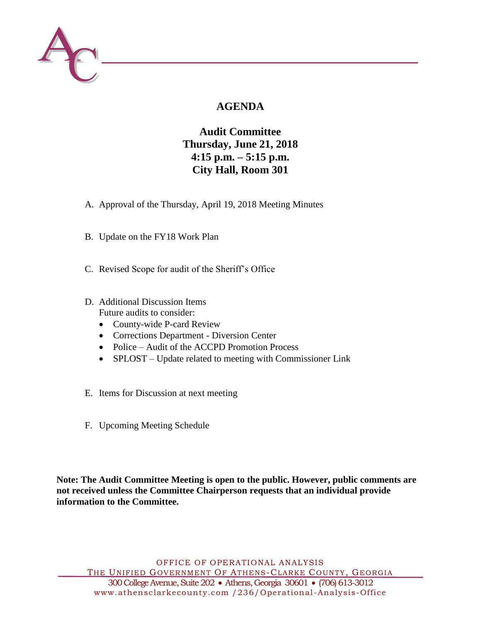

# **AGENDA**

**Audit Committee Thursday, June 21, 2018 4:15 p.m. – 5:15 p.m. City Hall, Room 301**

- A. Approval of the Thursday, April 19, 2018 Meeting Minutes
- B. Update on the FY18 Work Plan
- C. Revised Scope for audit of the Sheriff's Office
- D. Additional Discussion Items Future audits to consider:
	- County-wide P-card Review
	- Corrections Department Diversion Center
	- Police Audit of the ACCPD Promotion Process
	- SPLOST Update related to meeting with Commissioner Link
- E. Items for Discussion at next meeting
- F. Upcoming Meeting Schedule

**Note: The Audit Committee Meeting is open to the public. However, public comments are not received unless the Committee Chairperson requests that an individual provide information to the Committee.**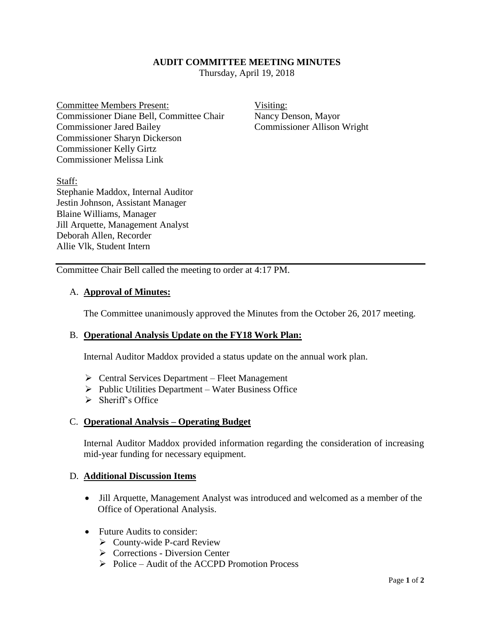### **AUDIT COMMITTEE MEETING MINUTES**

Thursday, April 19, 2018

Committee Members Present: Visiting: Commissioner Diane Bell, Committee Chair Nancy Denson, Mayor Commissioner Jared Bailey Commissioner Allison Wright Commissioner Sharyn Dickerson Commissioner Kelly Girtz Commissioner Melissa Link

Staff: Stephanie Maddox, Internal Auditor Jestin Johnson, Assistant Manager Blaine Williams, Manager Jill Arquette, Management Analyst Deborah Allen, Recorder Allie Vlk, Student Intern

Committee Chair Bell called the meeting to order at 4:17 PM.

#### A. **Approval of Minutes:**

The Committee unanimously approved the Minutes from the October 26, 2017 meeting.

#### B. **Operational Analysis Update on the FY18 Work Plan:**

Internal Auditor Maddox provided a status update on the annual work plan.

- $\triangleright$  Central Services Department Fleet Management
- $\triangleright$  Public Utilities Department Water Business Office
- $\triangleright$  Sheriff's Office

#### C. **Operational Analysis – Operating Budget**

Internal Auditor Maddox provided information regarding the consideration of increasing mid-year funding for necessary equipment.

#### D. **Additional Discussion Items**

- Jill Arquette, Management Analyst was introduced and welcomed as a member of the Office of Operational Analysis.
- Future Audits to consider:
	- $\triangleright$  County-wide P-card Review
	- $\triangleright$  Corrections Diversion Center
	- $\triangleright$  Police Audit of the ACCPD Promotion Process